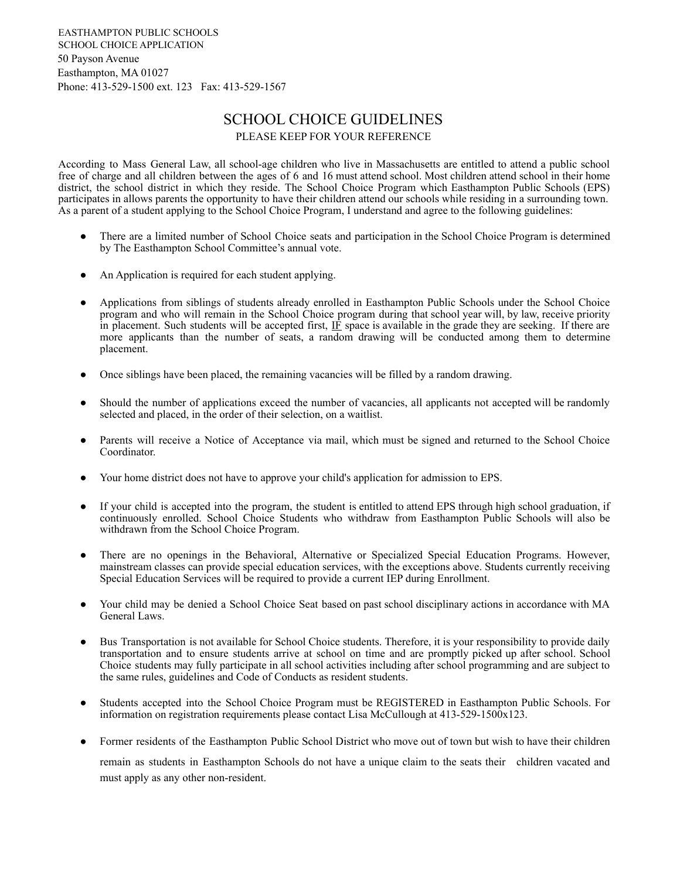EASTHAMPTON PUBLIC SCHOOLS SCHOOL CHOICE APPLICATION 50 Payson Avenue Easthampton, MA 01027 Phone: 413-529-1500 ext. 123 Fax: 413-529-1567

## SCHOOL CHOICE GUIDELINES PLEASE KEEP FOR YOUR REFERENCE

According to Mass General Law, all school-age children who live in Massachusetts are entitled to attend a public school free of charge and all children between the ages of 6 and 16 must attend school. Most children attend school in their home district, the school district in which they reside. The School Choice Program which Easthampton Public Schools (EPS) participates in allows parents the opportunity to have their children attend our schools while residing in a surrounding town. As a parent of a student applying to the School Choice Program, I understand and agree to the following guidelines:

- There are a limited number of School Choice seats and participation in the School Choice Program is determined by The Easthampton School Committee's annual vote.
- An Application is required for each student applying.
- Applications from siblings of students already enrolled in Easthampton Public Schools under the School Choice program and who will remain in the School Choice program during that school year will, by law, receive priority in placement. Such students will be accepted first,  $I\bar{F}$  space is available in the grade they are seeking. If there are more applicants than the number of seats, a random drawing will be conducted among them to determine placement.
- Once siblings have been placed, the remaining vacancies will be filled by a random drawing.
- Should the number of applications exceed the number of vacancies, all applicants not accepted will be randomly selected and placed, in the order of their selection, on a waitlist.
- Parents will receive a Notice of Acceptance via mail, which must be signed and returned to the School Choice Coordinator.
- Your home district does not have to approve your child's application for admission to EPS.
- If your child is accepted into the program, the student is entitled to attend EPS through high school graduation, if continuously enrolled. School Choice Students who withdraw from Easthampton Public Schools will also be withdrawn from the School Choice Program.
- There are no openings in the Behavioral, Alternative or Specialized Special Education Programs. However, mainstream classes can provide special education services, with the exceptions above. Students currently receiving Special Education Services will be required to provide a current IEP during Enrollment.
- Your child may be denied a School Choice Seat based on past school disciplinary actions in accordance with MA General Laws.
- Bus Transportation is not available for School Choice students. Therefore, it is your responsibility to provide daily transportation and to ensure students arrive at school on time and are promptly picked up after school. School Choice students may fully participate in all school activities including after school programming and are subject to the same rules, guidelines and Code of Conducts as resident students.
- Students accepted into the School Choice Program must be REGISTERED in Easthampton Public Schools. For information on registration requirements please contact Lisa McCullough at 413-529-1500x123.
- Former residents of the Easthampton Public School District who move out of town but wish to have their children remain as students in Easthampton Schools do not have a unique claim to the seats their children vacated and must apply as any other non-resident.